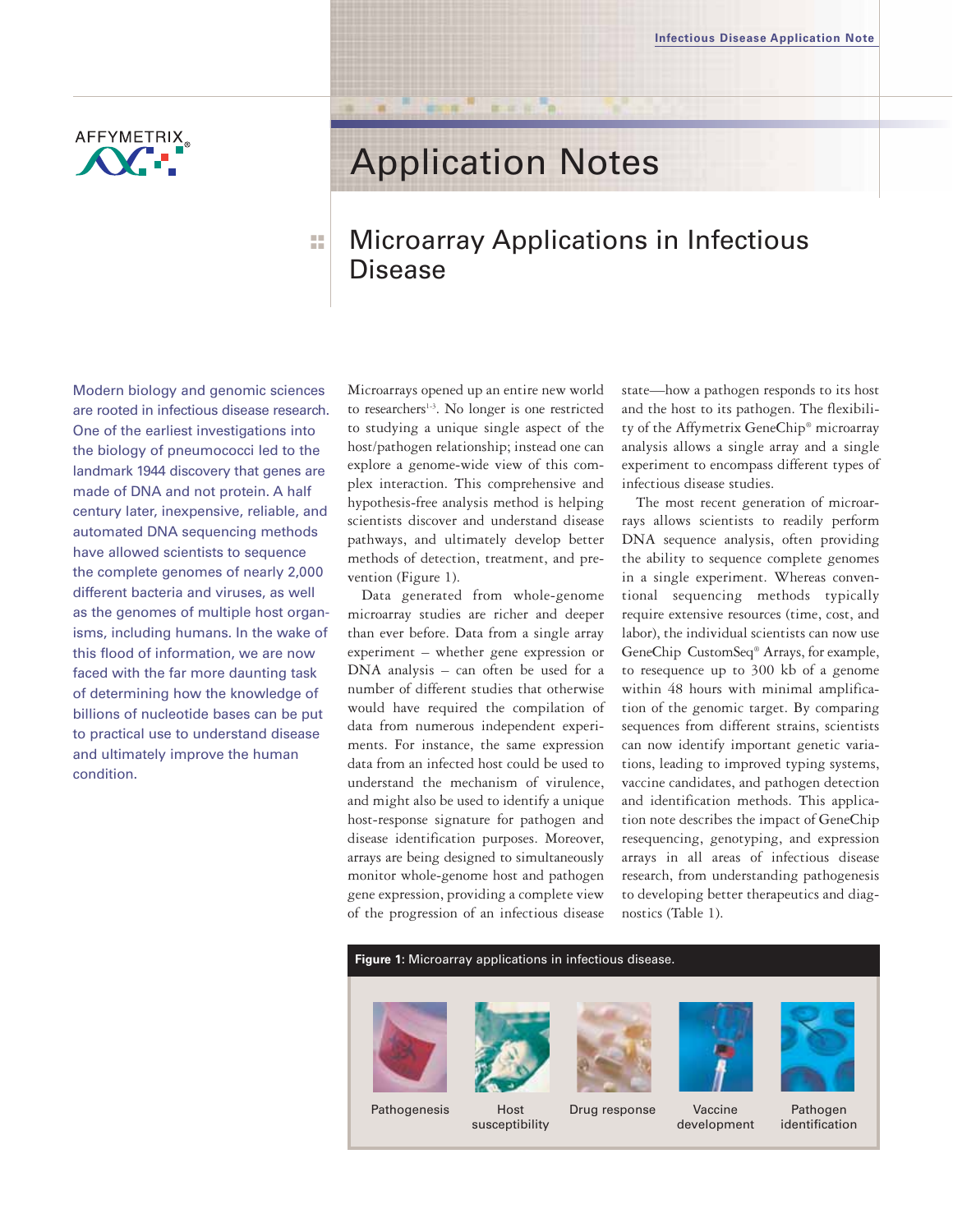

# Application Notes

# Microarray Applications in Infectious Disease

Modern biology and genomic sciences are rooted in infectious disease research. One of the earliest investigations into the biology of pneumococci led to the landmark 1944 discovery that genes are made of DNA and not protein. A half century later, inexpensive, reliable, and automated DNA sequencing methods have allowed scientists to sequence the complete genomes of nearly 2,000 different bacteria and viruses, as well as the genomes of multiple host organisms, including humans. In the wake of this flood of information, we are now faced with the far more daunting task of determining how the knowledge of billions of nucleotide bases can be put to practical use to understand disease and ultimately improve the human condition.

■ ■ ■ ■

Microarrays opened up an entire new world to researchers<sup>1-3</sup>. No longer is one restricted to studying a unique single aspect of the host/pathogen relationship; instead one can explore a genome-wide view of this complex interaction. This comprehensive and hypothesis-free analysis method is helping scientists discover and understand disease pathways, and ultimately develop better methods of detection, treatment, and prevention (Figure 1).

Data generated from whole-genome microarray studies are richer and deeper than ever before. Data from a single array experiment – whether gene expression or DNA analysis – can often be used for a number of different studies that otherwise would have required the compilation of data from numerous independent experiments. For instance, the same expression data from an infected host could be used to understand the mechanism of virulence, and might also be used to identify a unique host-response signature for pathogen and disease identification purposes. Moreover, arrays are being designed to simultaneously monitor whole-genome host and pathogen gene expression, providing a complete view of the progression of an infectious disease

state—how a pathogen responds to its host and the host to its pathogen. The flexibility of the Affymetrix GeneChip® microarray analysis allows a single array and a single experiment to encompass different types of infectious disease studies.

The most recent generation of microarrays allows scientists to readily perform DNA sequence analysis, often providing the ability to sequence complete genomes in a single experiment. Whereas conventional sequencing methods typically require extensive resources (time, cost, and labor), the individual scientists can now use GeneChip CustomSeq® Arrays, for example, to resequence up to 300 kb of a genome within 48 hours with minimal amplification of the genomic target. By comparing sequences from different strains, scientists can now identify important genetic variations, leading to improved typing systems, vaccine candidates, and pathogen detection and identification methods. This application note describes the impact of GeneChip resequencing, genotyping, and expression arrays in all areas of infectious disease research, from understanding pathogenesis to developing better therapeutics and diagnostics (Table 1).



susceptibility

development



identification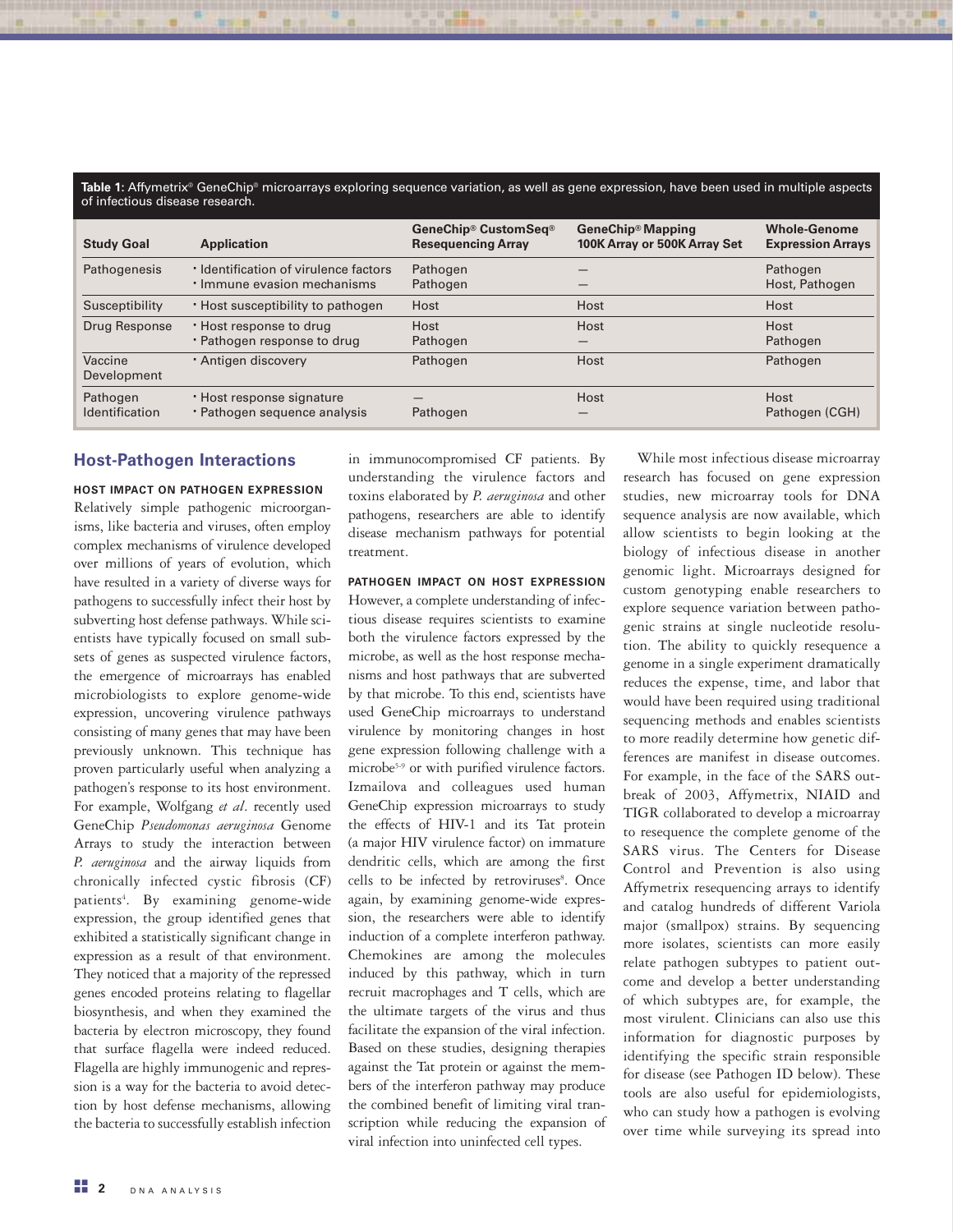| <b>Study Goal</b>          | <b>Application</b>                                                   | GeneChip® CustomSeq®<br><b>Resequencing Array</b> | GeneChip® Mapping<br>100K Array or 500K Array Set | <b>Whole-Genome</b><br><b>Expression Arrays</b> |
|----------------------------|----------------------------------------------------------------------|---------------------------------------------------|---------------------------------------------------|-------------------------------------------------|
| Pathogenesis               | · Identification of virulence factors<br>· Immune evasion mechanisms | Pathogen<br>Pathogen                              |                                                   | Pathogen<br>Host, Pathogen                      |
| Susceptibility             | . Host susceptibility to pathogen                                    | Host                                              | Host                                              | Host                                            |
| Drug Response              | . Host response to drug<br>· Pathogen response to drug               | Host<br>Pathogen                                  | Host                                              | Host<br>Pathogen                                |
| Vaccine<br>Development     | · Antigen discovery                                                  | Pathogen                                          | Host                                              | Pathogen                                        |
| Pathogen<br>Identification | . Host response signature<br>· Pathogen sequence analysis            | Pathogen                                          | Host                                              | Host<br>Pathogen (CGH)                          |

# Host-Pathogen Interactions

HOST IMPACT ON PATHOGEN EXPRESSION Relatively simple pathogenic microorganisms, like bacteria and viruses, often employ complex mechanisms of virulence developed over millions of years of evolution, which have resulted in a variety of diverse ways for pathogens to successfully infect their host by subverting host defense pathways. While scientists have typically focused on small subsets of genes as suspected virulence factors, the emergence of microarrays has enabled microbiologists to explore genome-wide expression, uncovering virulence pathways consisting of many genes that may have been previously unknown. This technique has proven particularly useful when analyzing a pathogen's response to its host environment. For example, Wolfgang et al. recently used GeneChip Pseudomonas aeruginosa Genome Arrays to study the interaction between P. aeruginosa and the airway liquids from chronically infected cystic fibrosis (CF) patients<sup>4</sup>. By examining genome-wide expression, the group identified genes that exhibited a statistically significant change in expression as a result of that environment. They noticed that a majority of the repressed genes encoded proteins relating to flagellar biosynthesis, and when they examined the bacteria by electron microscopy, they found that surface flagella were indeed reduced. Flagella are highly immunogenic and repression is a way for the bacteria to avoid detection by host defense mechanisms, allowing the bacteria to successfully establish infection

in immunocompromised CF patients. By understanding the virulence factors and toxins elaborated by P. aeruginosa and other pathogens, researchers are able to identify disease mechanism pathways for potential treatment.

PATHOGEN IMPACT ON HOST EXPRESSION However, a complete understanding of infectious disease requires scientists to examine both the virulence factors expressed by the microbe, as well as the host response mechanisms and host pathways that are subverted by that microbe. To this end, scientists have used GeneChip microarrays to understand virulence by monitoring changes in host gene expression following challenge with a microbe<sup>5-9</sup> or with purified virulence factors. Izmailova and colleagues used human GeneChip expression microarrays to study the effects of HIV-1 and its Tat protein (a major HIV virulence factor) on immature dendritic cells, which are among the first cells to be infected by retroviruses<sup>8</sup>. Once again, by examining genome-wide expression, the researchers were able to identify induction of a complete interferon pathway. Chemokines are among the molecules induced by this pathway, which in turn recruit macrophages and T cells, which are the ultimate targets of the virus and thus facilitate the expansion of the viral infection. Based on these studies, designing therapies against the Tat protein or against the members of the interferon pathway may produce the combined benefit of limiting viral transcription while reducing the expansion of viral infection into uninfected cell types.

While most infectious disease microarray research has focused on gene expression studies, new microarray tools for DNA sequence analysis are now available, which allow scientists to begin looking at the biology of infectious disease in another genomic light. Microarrays designed for custom genotyping enable researchers to explore sequence variation between pathogenic strains at single nucleotide resolution. The ability to quickly resequence a genome in a single experiment dramatically reduces the expense, time, and labor that would have been required using traditional sequencing methods and enables scientists to more readily determine how genetic differences are manifest in disease outcomes. For example, in the face of the SARS outbreak of 2003, Affymetrix, NIAID and TIGR collaborated to develop a microarray to resequence the complete genome of the SARS virus. The Centers for Disease Control and Prevention is also using Affymetrix resequencing arrays to identify and catalog hundreds of different Variola major (smallpox) strains. By sequencing more isolates, scientists can more easily relate pathogen subtypes to patient outcome and develop a better understanding of which subtypes are, for example, the most virulent. Clinicians can also use this information for diagnostic purposes by identifying the specific strain responsible for disease (see Pathogen ID below). These tools are also useful for epidemiologists, who can study how a pathogen is evolving over time while surveying its spread into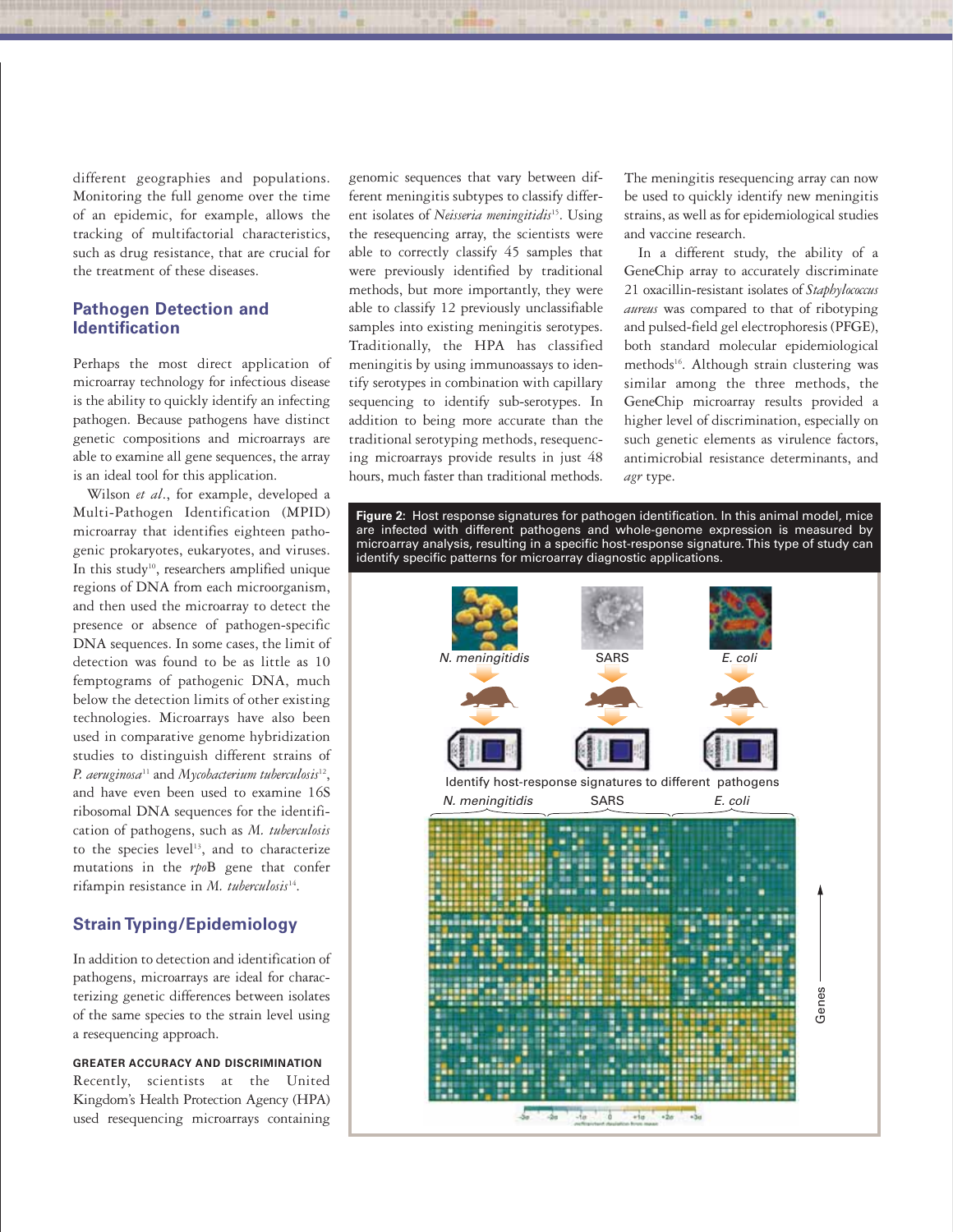different geographies and populations. Monitoring the full genome over the time of an epidemic, for example, allows the tracking of multifactorial characteristics, such as drug resistance, that are crucial for the treatment of these diseases.

# Pathogen Detection and Identification

Perhaps the most direct application of microarray technology for infectious disease is the ability to quickly identify an infecting pathogen. Because pathogens have distinct genetic compositions and microarrays are able to examine all gene sequences, the array is an ideal tool for this application.

Wilson et al., for example, developed a Multi-Pathogen Identification (MPID) microarray that identifies eighteen pathogenic prokaryotes, eukaryotes, and viruses. In this study<sup>10</sup>, researchers amplified unique regions of DNA from each microorganism, and then used the microarray to detect the presence or absence of pathogen-specific DNA sequences. In some cases, the limit of detection was found to be as little as 10 femptograms of pathogenic DNA, much below the detection limits of other existing technologies. Microarrays have also been used in comparative genome hybridization studies to distinguish different strains of P. aeruginosa<sup>11</sup> and Mycobacterium tuberculosis<sup>12</sup>, and have even been used to examine 16S ribosomal DNA sequences for the identification of pathogens, such as M. tuberculosis to the species level<sup>13</sup>, and to characterize mutations in the rpoB gene that confer rifampin resistance in  $M.$  tuberculosis<sup>14</sup>.

# Strain Typing/Epidemiology

In addition to detection and identification of pathogens, microarrays are ideal for characterizing genetic differences between isolates of the same species to the strain level using a resequencing approach.

GREATER ACCURACY AND DISCRIMINATION Recently, scientists at the United Kingdom's Health Protection Agency (HPA) used resequencing microarrays containing genomic sequences that vary between different meningitis subtypes to classify different isolates of Neisseria meningitidis<sup>15</sup>. Using the resequencing array, the scientists were able to correctly classify 45 samples that were previously identified by traditional methods, but more importantly, they were able to classify 12 previously unclassifiable samples into existing meningitis serotypes. Traditionally, the HPA has classified meningitis by using immunoassays to identify serotypes in combination with capillary sequencing to identify sub-serotypes. In addition to being more accurate than the traditional serotyping methods, resequencing microarrays provide results in just 48 hours, much faster than traditional methods.

The meningitis resequencing array can now be used to quickly identify new meningitis strains, as well as for epidemiological studies and vaccine research.

In a different study, the ability of a GeneChip array to accurately discriminate 21 oxacillin-resistant isolates of Staphylococcus aureus was compared to that of ribotyping and pulsed-field gel electrophoresis (PFGE), both standard molecular epidemiological methods<sup>16</sup>. Although strain clustering was similar among the three methods, the GeneChip microarray results provided a higher level of discrimination, especially on such genetic elements as virulence factors, antimicrobial resistance determinants, and agr type.

Figure 2: Host response signatures for pathogen identification. In this animal model, mice are infected with different pathogens and whole-genome expression is measured by microarray analysis, resulting in a specific host-response signature. This type of study can identify specific patterns for microarray diagnostic applications.

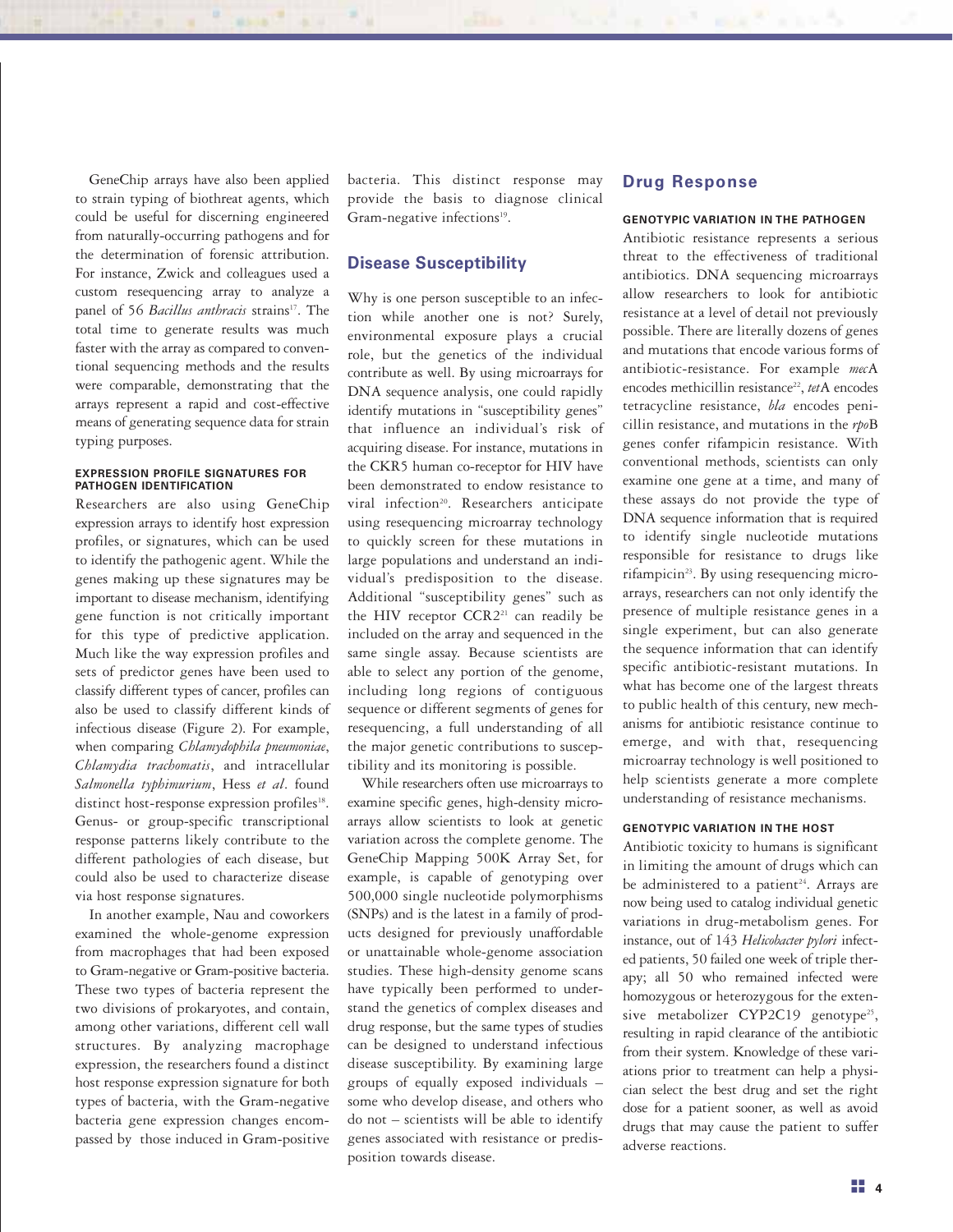GeneChip arrays have also been applied to strain typing of biothreat agents, which could be useful for discerning engineered from naturally-occurring pathogens and for the determination of forensic attribution. For instance, Zwick and colleagues used a custom resequencing array to analyze a panel of 56 Bacillus anthracis strains<sup>17</sup>. The total time to generate results was much faster with the array as compared to conventional sequencing methods and the results were comparable, demonstrating that the arrays represent a rapid and cost-effective means of generating sequence data for strain typing purposes.

#### EXPRESSION PROFILE SIGNATURES FOR PATHOGEN IDENTIFICATION

Researchers are also using GeneChip expression arrays to identify host expression profiles, or signatures, which can be used to identify the pathogenic agent. While the genes making up these signatures may be important to disease mechanism, identifying gene function is not critically important for this type of predictive application. Much like the way expression profiles and sets of predictor genes have been used to classify different types of cancer, profiles can also be used to classify different kinds of infectious disease (Figure 2). For example, when comparing *Chlamydophila pneumoniae*, Chlamydia trachomatis, and intracellular Salmonella typhimurium, Hess et al. found distinct host-response expression profiles<sup>18</sup>. Genus- or group-specific transcriptional response patterns likely contribute to the different pathologies of each disease, but could also be used to characterize disease via host response signatures.

In another example, Nau and coworkers examined the whole-genome expression from macrophages that had been exposed to Gram-negative or Gram-positive bacteria. These two types of bacteria represent the two divisions of prokaryotes, and contain, among other variations, different cell wall structures. By analyzing macrophage expression, the researchers found a distinct host response expression signature for both types of bacteria, with the Gram-negative bacteria gene expression changes encompassed by those induced in Gram-positive bacteria. This distinct response may provide the basis to diagnose clinical Gram-negative infections<sup>19</sup>.

# Disease Susceptibility

Why is one person susceptible to an infection while another one is not? Surely, environmental exposure plays a crucial role, but the genetics of the individual contribute as well. By using microarrays for DNA sequence analysis, one could rapidly identify mutations in "susceptibility genes" that influence an individual's risk of acquiring disease. For instance, mutations in the CKR5 human co-receptor for HIV have been demonstrated to endow resistance to viral infection<sup>20</sup>. Researchers anticipate using resequencing microarray technology to quickly screen for these mutations in large populations and understand an individual's predisposition to the disease. Additional "susceptibility genes" such as the HIV receptor CCR2<sup>21</sup> can readily be included on the array and sequenced in the same single assay. Because scientists are able to select any portion of the genome, including long regions of contiguous sequence or different segments of genes for resequencing, a full understanding of all the major genetic contributions to susceptibility and its monitoring is possible.

While researchers often use microarrays to examine specific genes, high-density microarrays allow scientists to look at genetic variation across the complete genome. The GeneChip Mapping 500K Array Set, for example, is capable of genotyping over 500,000 single nucleotide polymorphisms (SNPs) and is the latest in a family of products designed for previously unaffordable or unattainable whole-genome association studies. These high-density genome scans have typically been performed to understand the genetics of complex diseases and drug response, but the same types of studies can be designed to understand infectious disease susceptibility. By examining large groups of equally exposed individuals – some who develop disease, and others who do not – scientists will be able to identify genes associated with resistance or predisposition towards disease.

# Drug Response

#### GENOTYPIC VARIATION IN THE PATHOGEN

Antibiotic resistance represents a serious threat to the effectiveness of traditional antibiotics. DNA sequencing microarrays allow researchers to look for antibiotic resistance at a level of detail not previously possible. There are literally dozens of genes and mutations that encode various forms of antibiotic-resistance. For example mecA encodes methicillin resistance<sup>22</sup>, tetA encodes tetracycline resistance, bla encodes penicillin resistance, and mutations in the rpoB genes confer rifampicin resistance. With conventional methods, scientists can only examine one gene at a time, and many of these assays do not provide the type of DNA sequence information that is required to identify single nucleotide mutations responsible for resistance to drugs like rifampicin<sup>23</sup>. By using resequencing microarrays, researchers can not only identify the presence of multiple resistance genes in a single experiment, but can also generate the sequence information that can identify specific antibiotic-resistant mutations. In what has become one of the largest threats to public health of this century, new mechanisms for antibiotic resistance continue to emerge, and with that, resequencing microarray technology is well positioned to help scientists generate a more complete understanding of resistance mechanisms.

### GENOTYPIC VARIATION IN THE HOST

Antibiotic toxicity to humans is significant in limiting the amount of drugs which can be administered to a patient<sup>24</sup>. Arrays are now being used to catalog individual genetic variations in drug-metabolism genes. For instance, out of 143 Helicobacter pylori infected patients, 50 failed one week of triple therapy; all 50 who remained infected were homozygous or heterozygous for the extensive metabolizer CYP2C19 genotype<sup>25</sup>, resulting in rapid clearance of the antibiotic from their system. Knowledge of these variations prior to treatment can help a physician select the best drug and set the right dose for a patient sooner, as well as avoid drugs that may cause the patient to suffer adverse reactions.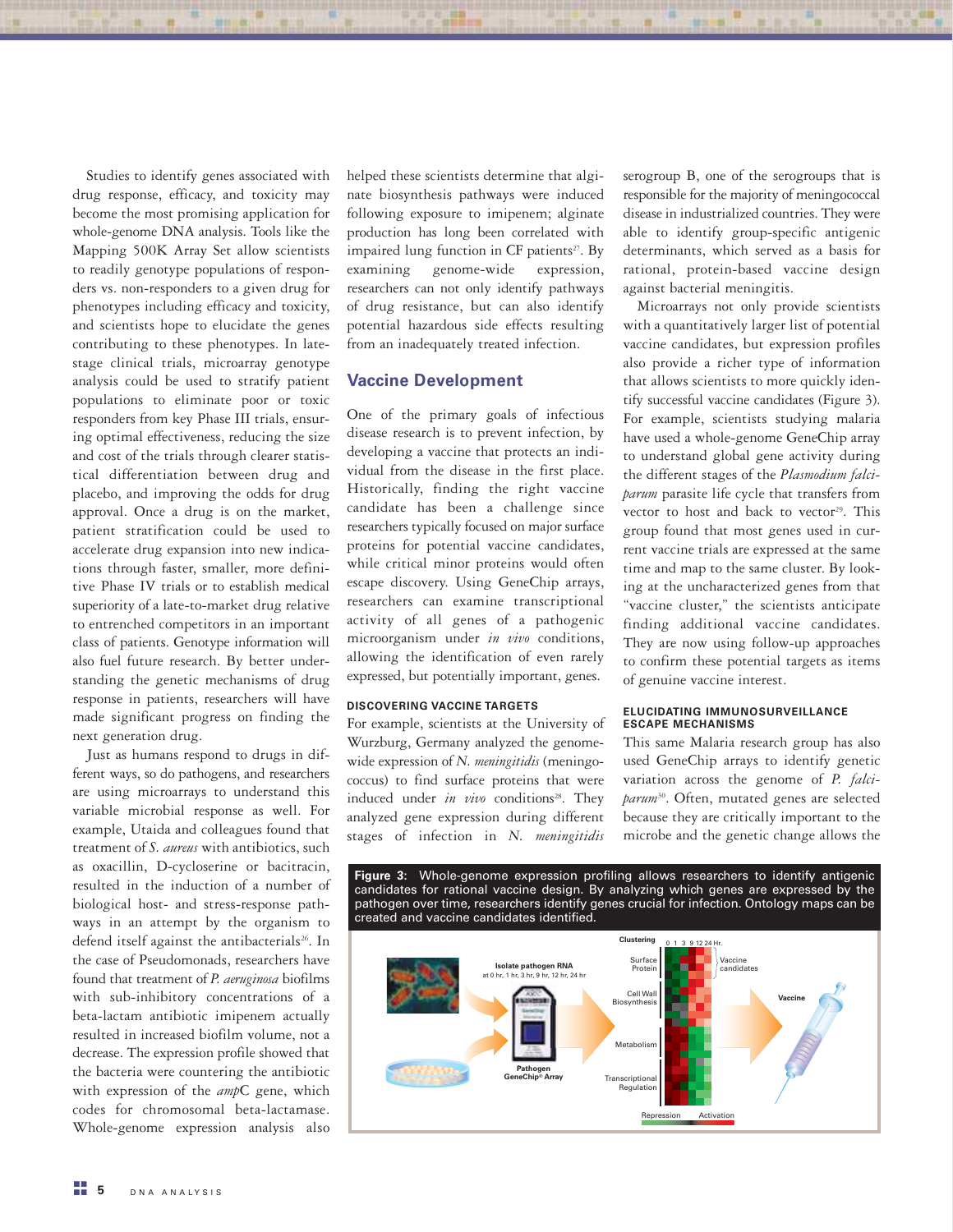Studies to identify genes associated with drug response, efficacy, and toxicity may become the most promising application for whole-genome DNA analysis. Tools like the Mapping 500K Array Set allow scientists to readily genotype populations of responders vs. non-responders to a given drug for phenotypes including efficacy and toxicity, and scientists hope to elucidate the genes contributing to these phenotypes. In latestage clinical trials, microarray genotype analysis could be used to stratify patient populations to eliminate poor or toxic responders from key Phase III trials, ensuring optimal effectiveness, reducing the size and cost of the trials through clearer statistical differentiation between drug and placebo, and improving the odds for drug approval. Once a drug is on the market, patient stratification could be used to accelerate drug expansion into new indications through faster, smaller, more definitive Phase IV trials or to establish medical superiority of a late-to-market drug relative to entrenched competitors in an important class of patients. Genotype information will also fuel future research. By better understanding the genetic mechanisms of drug response in patients, researchers will have made significant progress on finding the next generation drug.

Just as humans respond to drugs in different ways, so do pathogens, and researchers are using microarrays to understand this variable microbial response as well. For example, Utaida and colleagues found that treatment of S. aureus with antibiotics, such as oxacillin, D-cycloserine or bacitracin, resulted in the induction of a number of biological host- and stress-response pathways in an attempt by the organism to defend itself against the antibacterials<sup>26</sup>. In the case of Pseudomonads, researchers have found that treatment of P. aeruginosa biofilms with sub-inhibitory concentrations of a beta-lactam antibiotic imipenem actually resulted in increased biofilm volume, not a decrease. The expression profile showed that the bacteria were countering the antibiotic with expression of the ampC gene, which codes for chromosomal beta-lactamase. Whole-genome expression analysis also helped these scientists determine that alginate biosynthesis pathways were induced following exposure to imipenem; alginate production has long been correlated with impaired lung function in CF patients<sup>27</sup>. By examining genome-wide expression, researchers can not only identify pathways of drug resistance, but can also identify potential hazardous side effects resulting from an inadequately treated infection.

# Vaccine Development

One of the primary goals of infectious disease research is to prevent infection, by developing a vaccine that protects an individual from the disease in the first place. Historically, finding the right vaccine candidate has been a challenge since researchers typically focused on major surface proteins for potential vaccine candidates, while critical minor proteins would often escape discovery. Using GeneChip arrays, researchers can examine transcriptional activity of all genes of a pathogenic microorganism under in vivo conditions, allowing the identification of even rarely expressed, but potentially important, genes.

# DISCOVERING VACCINE TARGETS

For example, scientists at the University of Wurzburg, Germany analyzed the genomewide expression of N. meningitidis (meningococcus) to find surface proteins that were induced under in vivo conditions<sup>28</sup>. They analyzed gene expression during different stages of infection in N. meningitidis

serogroup B, one of the serogroups that is responsible for the majority of meningococcal disease in industrialized countries. They were able to identify group-specific antigenic determinants, which served as a basis for rational, protein-based vaccine design against bacterial meningitis.

Microarrays not only provide scientists with a quantitatively larger list of potential vaccine candidates, but expression profiles also provide a richer type of information that allows scientists to more quickly identify successful vaccine candidates (Figure 3). For example, scientists studying malaria have used a whole-genome GeneChip array to understand global gene activity during the different stages of the Plasmodium falciparum parasite life cycle that transfers from vector to host and back to vector<sup>29</sup>. This group found that most genes used in current vaccine trials are expressed at the same time and map to the same cluster. By looking at the uncharacterized genes from that "vaccine cluster," the scientists anticipate finding additional vaccine candidates. They are now using follow-up approaches to confirm these potential targets as items of genuine vaccine interest.

#### ELUCIDATING IMMUNOSURVEILLANCE ESCAPE MECHANISMS

This same Malaria research group has also used GeneChip arrays to identify genetic variation across the genome of P. falciparum<sup>30</sup>. Often, mutated genes are selected because they are critically important to the microbe and the genetic change allows the